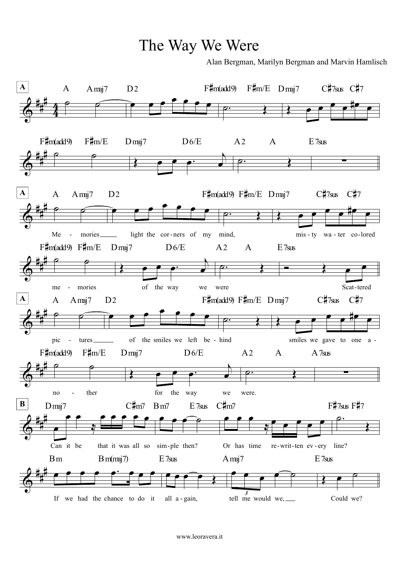The Way We Were

Alan Bergman, Marilyn Bergman and Marvin Hamlisch